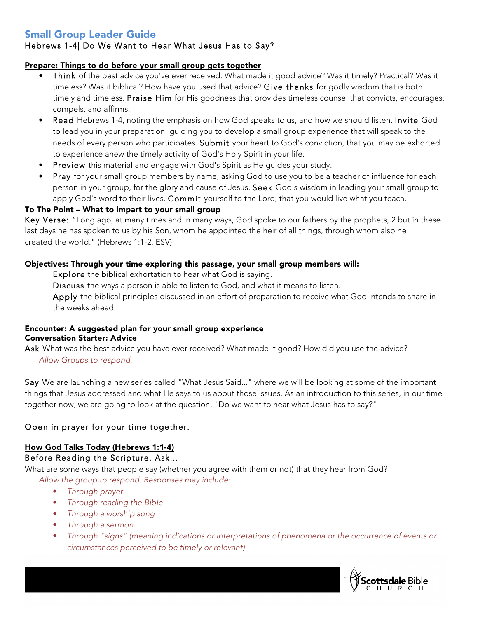# Small Group Leader Guide

## Hebrews 1-4| Do We Want to Hear What Jesus Has to Say?

## Prepare: Things to do before your small group gets together

- Think of the best advice you've ever received. What made it good advice? Was it timely? Practical? Was it timeless? Was it biblical? How have you used that advice? Give thanks for godly wisdom that is both timely and timeless. Praise Him for His goodness that provides timeless counsel that convicts, encourages, compels, and affirms.
- Read Hebrews 1-4, noting the emphasis on how God speaks to us, and how we should listen. Invite God to lead you in your preparation, guiding you to develop a small group experience that will speak to the needs of every person who participates. Submit your heart to God's conviction, that you may be exhorted to experience anew the timely activity of God's Holy Spirit in your life.
- Preview this material and engage with God's Spirit as He guides your study.
- Pray for your small group members by name, asking God to use you to be a teacher of influence for each person in your group, for the glory and cause of Jesus. Seek God's wisdom in leading your small group to apply God's word to their lives. Commit yourself to the Lord, that you would live what you teach.

## To The Point – What to impart to your small group

Key Verse: "Long ago, at many times and in many ways, God spoke to our fathers by the prophets, 2 but in these last days he has spoken to us by his Son, whom he appointed the heir of all things, through whom also he created the world." (Hebrews 1:1-2, ESV)

## Objectives: Through your time exploring this passage, your small group members will:

Explore the biblical exhortation to hear what God is saying.

Discuss the ways a person is able to listen to God, and what it means to listen.

Apply the biblical principles discussed in an effort of preparation to receive what God intends to share in the weeks ahead.

#### Encounter: A suggested plan for your small group experience Conversation Starter: Advice

Ask What was the best advice you have ever received? What made it good? How did you use the advice? *Allow Groups to respond.*

Say We are launching a new series called "What Jesus Said..." where we will be looking at some of the important things that Jesus addressed and what He says to us about those issues. As an introduction to this series, in our time together now, we are going to look at the question, "Do we want to hear what Jesus has to say?"

# Open in prayer for your time together.

## How God Talks Today (Hebrews 1:1-4)

## Before Reading the Scripture, Ask...

What are some ways that people say (whether you agree with them or not) that they hear from God? *Allow the group to respond. Responses may include:*

- *Through prayer*
- *Through reading the Bible*
- *Through a worship song*
- *Through a sermon*
- *Through "signs" (meaning indications or interpretations of phenomena or the occurrence of events or circumstances perceived to be timely or relevant)*

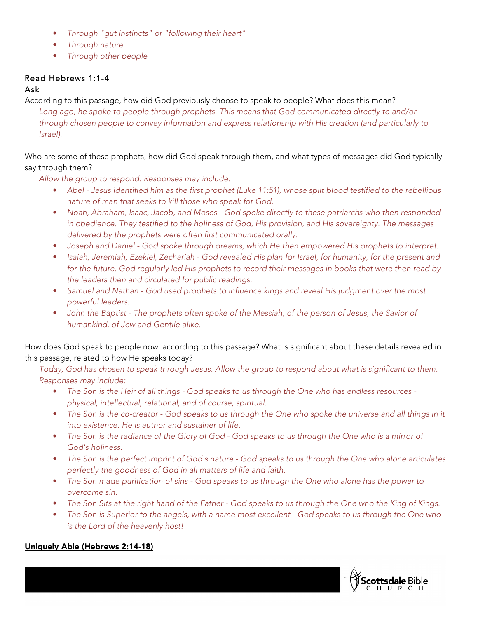- *Through "gut instincts" or "following their heart"*
- *Through nature*
- *Through other people*

# Read Hebrews 1:1-4

## Ask

According to this passage, how did God previously choose to speak to people? What does this mean? *Long ago, he spoke to people through prophets. This means that God communicated directly to and/or through chosen people to convey information and express relationship with His creation (and particularly to Israel).*

Who are some of these prophets, how did God speak through them, and what types of messages did God typically say through them?

*Allow the group to respond. Responses may include:*

- *Abel - Jesus identified him as the first prophet (Luke 11:51), whose spilt blood testified to the rebellious nature of man that seeks to kill those who speak for God.*
- *Noah, Abraham, Isaac, Jacob, and Moses - God spoke directly to these patriarchs who then responded in obedience. They testified to the holiness of God, His provision, and His sovereignty. The messages delivered by the prophets were often first communicated orally.*
- *Joseph and Daniel - God spoke through dreams, which He then empowered His prophets to interpret.*
- *Isaiah, Jeremiah, Ezekiel, Zechariah - God revealed His plan for Israel, for humanity, for the present and for the future. God regularly led His prophets to record their messages in books that were then read by the leaders then and circulated for public readings.*
- *Samuel and Nathan - God used prophets to influence kings and reveal His judgment over the most powerful leaders.*
- *John the Baptist - The prophets often spoke of the Messiah, of the person of Jesus, the Savior of humankind, of Jew and Gentile alike.*

How does God speak to people now, according to this passage? What is significant about these details revealed in this passage, related to how He speaks today?

*Today, God has chosen to speak through Jesus. Allow the group to respond about what is significant to them. Responses may include:*

- *The Son is the Heir of all things - God speaks to us through the One who has endless resources physical, intellectual, relational, and of course, spiritual.*
- *The Son is the co-creator - God speaks to us through the One who spoke the universe and all things in it into existence. He is author and sustainer of life.*
- *The Son is the radiance of the Glory of God - God speaks to us through the One who is a mirror of God's holiness.*
- *The Son is the perfect imprint of God's nature - God speaks to us through the One who alone articulates perfectly the goodness of God in all matters of life and faith.*
- *The Son made purification of sins - God speaks to us through the One who alone has the power to overcome sin.*
- *The Son Sits at the right hand of the Father - God speaks to us through the One who the King of Kings.*
- *The Son is Superior to the angels, with a name most excellent - God speaks to us through the One who is the Lord of the heavenly host!*



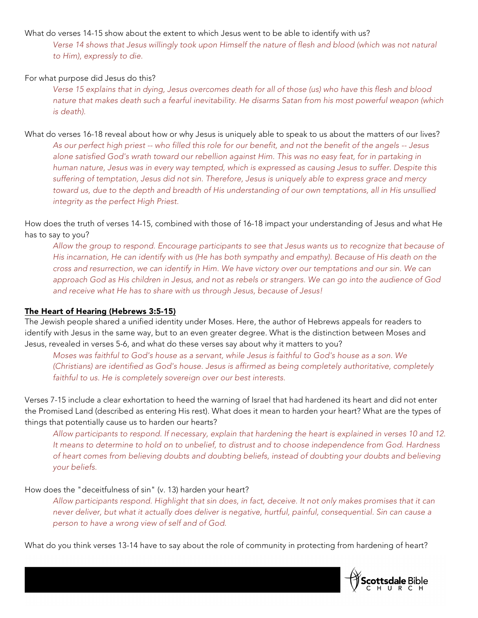### What do verses 14-15 show about the extent to which Jesus went to be able to identify with us?

*Verse 14 shows that Jesus willingly took upon Himself the nature of flesh and blood (which was not natural to Him), expressly to die.*

#### For what purpose did Jesus do this?

*Verse 15 explains that in dying, Jesus overcomes death for all of those (us) who have this flesh and blood nature that makes death such a fearful inevitability. He disarms Satan from his most powerful weapon (which is death).*

What do verses 16-18 reveal about how or why Jesus is uniquely able to speak to us about the matters of our lives? *As our perfect high priest -- who filled this role for our benefit, and not the benefit of the angels -- Jesus alone satisfied God's wrath toward our rebellion against Him. This was no easy feat, for in partaking in human nature, Jesus was in every way tempted, which is expressed as causing Jesus to suffer. Despite this suffering of temptation, Jesus did not sin. Therefore, Jesus is uniquely able to express grace and mercy toward us, due to the depth and breadth of His understanding of our own temptations, all in His unsullied integrity as the perfect High Priest.*

How does the truth of verses 14-15, combined with those of 16-18 impact your understanding of Jesus and what He has to say to you?

*Allow the group to respond. Encourage participants to see that Jesus wants us to recognize that because of His incarnation, He can identify with us (He has both sympathy and empathy). Because of His death on the cross and resurrection, we can identify in Him. We have victory over our temptations and our sin. We can approach God as His children in Jesus, and not as rebels or strangers. We can go into the audience of God and receive what He has to share with us through Jesus, because of Jesus!*

### The Heart of Hearing (Hebrews 3:5-15)

The Jewish people shared a unified identity under Moses. Here, the author of Hebrews appeals for readers to identify with Jesus in the same way, but to an even greater degree. What is the distinction between Moses and Jesus, revealed in verses 5-6, and what do these verses say about why it matters to you?

*Moses was faithful to God's house as a servant, while Jesus is faithful to God's house as a son. We (Christians) are identified as God's house. Jesus is affirmed as being completely authoritative, completely faithful to us. He is completely sovereign over our best interests.*

Verses 7-15 include a clear exhortation to heed the warning of Israel that had hardened its heart and did not enter the Promised Land (described as entering His rest). What does it mean to harden your heart? What are the types of things that potentially cause us to harden our hearts?

*Allow participants to respond. If necessary, explain that hardening the heart is explained in verses 10 and 12. It means to determine to hold on to unbelief, to distrust and to choose independence from God. Hardness of heart comes from believing doubts and doubting beliefs, instead of doubting your doubts and believing your beliefs.*

### How does the "deceitfulness of sin" (v. 13) harden your heart?

*Allow participants respond. Highlight that sin does, in fact, deceive. It not only makes promises that it can never deliver, but what it actually does deliver is negative, hurtful, painful, consequential. Sin can cause a person to have a wrong view of self and of God.*

What do you think verses 13-14 have to say about the role of community in protecting from hardening of heart?

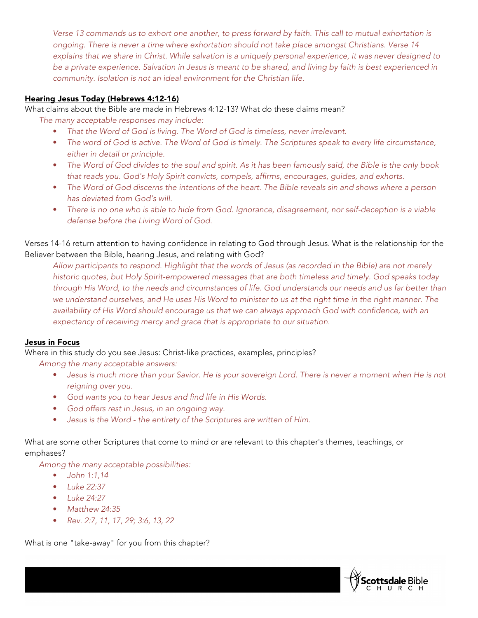*Verse 13 commands us to exhort one another, to press forward by faith. This call to mutual exhortation is ongoing. There is never a time where exhortation should not take place amongst Christians. Verse 14 explains that we share in Christ. While salvation is a uniquely personal experience, it was never designed to be a private experience. Salvation in Jesus is meant to be shared, and living by faith is best experienced in community. Isolation is not an ideal environment for the Christian life.*

## Hearing Jesus Today (Hebrews 4:12-16)

What claims about the Bible are made in Hebrews 4:12-13? What do these claims mean?

*The many acceptable responses may include:*

- *That the Word of God is living. The Word of God is timeless, never irrelevant.*
- *The word of God is active. The Word of God is timely. The Scriptures speak to every life circumstance, either in detail or principle.*
- *The Word of God divides to the soul and spirit. As it has been famously said, the Bible is the only book that reads you. God's Holy Spirit convicts, compels, affirms, encourages, guides, and exhorts.*
- *The Word of God discerns the intentions of the heart. The Bible reveals sin and shows where a person has deviated from God's will.*
- *There is no one who is able to hide from God. Ignorance, disagreement, nor self-deception is a viable defense before the Living Word of God.*

Verses 14-16 return attention to having confidence in relating to God through Jesus. What is the relationship for the Believer between the Bible, hearing Jesus, and relating with God?

*Allow participants to respond. Highlight that the words of Jesus (as recorded in the Bible) are not merely historic quotes, but Holy Spirit-empowered messages that are both timeless and timely. God speaks today through His Word, to the needs and circumstances of life. God understands our needs and us far better than we understand ourselves, and He uses His Word to minister to us at the right time in the right manner. The availability of His Word should encourage us that we can always approach God with confidence, with an expectancy of receiving mercy and grace that is appropriate to our situation.*

### Jesus in Focus

Where in this study do you see Jesus: Christ-like practices, examples, principles?

*Among the many acceptable answers:*

- *Jesus is much more than your Savior. He is your sovereign Lord. There is never a moment when He is not reigning over you.*
- *God wants you to hear Jesus and find life in His Words.*
- *God offers rest in Jesus, in an ongoing way.*
- *Jesus is the Word - the entirety of the Scriptures are written of Him.*

What are some other Scriptures that come to mind or are relevant to this chapter's themes, teachings, or emphases?

*Among the many acceptable possibilities:*

- *John 1:1,14*
- *Luke 22:37*
- *Luke 24:27*
- *Matthew 24:35*
- *Rev. 2:7, 11, 17, 29; 3:6, 13, 22*

What is one "take-away" for you from this chapter?